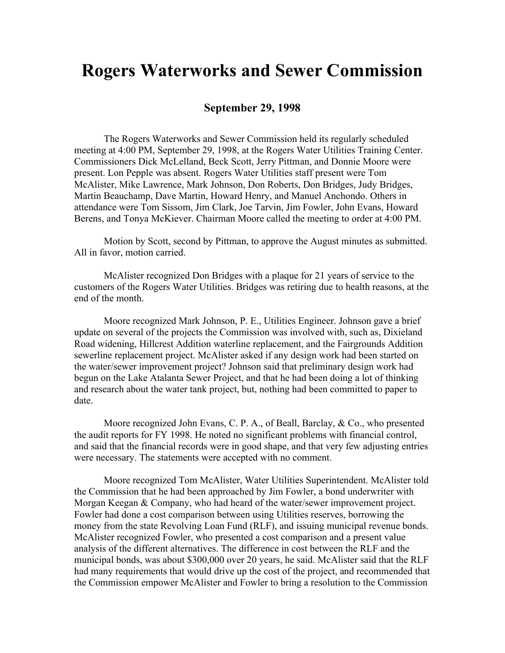## **Rogers Waterworks and Sewer Commission**

## **September 29, 1998**

The Rogers Waterworks and Sewer Commission held its regularly scheduled meeting at 4:00 PM, September 29, 1998, at the Rogers Water Utilities Training Center. Commissioners Dick McLelland, Beck Scott, Jerry Pittman, and Donnie Moore were present. Lon Pepple was absent. Rogers Water Utilities staff present were Tom McAlister, Mike Lawrence, Mark Johnson, Don Roberts, Don Bridges, Judy Bridges, Martin Beauchamp, Dave Martin, Howard Henry, and Manuel Anchondo. Others in attendance were Tom Sissom, Jim Clark, Joe Tarvin, Jim Fowler, John Evans, Howard Berens, and Tonya McKiever. Chairman Moore called the meeting to order at 4:00 PM.

Motion by Scott, second by Pittman, to approve the August minutes as submitted. All in favor, motion carried.

McAlister recognized Don Bridges with a plaque for 21 years of service to the customers of the Rogers Water Utilities. Bridges was retiring due to health reasons, at the end of the month.

Moore recognized Mark Johnson, P. E., Utilities Engineer. Johnson gave a brief update on several of the projects the Commission was involved with, such as, Dixieland Road widening, Hillcrest Addition waterline replacement, and the Fairgrounds Addition sewerline replacement project. McAlister asked if any design work had been started on the water/sewer improvement project? Johnson said that preliminary design work had begun on the Lake Atalanta Sewer Project, and that he had been doing a lot of thinking and research about the water tank project, but, nothing had been committed to paper to date.

Moore recognized John Evans, C. P. A., of Beall, Barclay, & Co., who presented the audit reports for FY 1998. He noted no significant problems with financial control, and said that the financial records were in good shape, and that very few adjusting entries were necessary. The statements were accepted with no comment.

Moore recognized Tom McAlister, Water Utilities Superintendent. McAlister told the Commission that he had been approached by Jim Fowler, a bond underwriter with Morgan Keegan & Company, who had heard of the water/sewer improvement project. Fowler had done a cost comparison between using Utilities reserves, borrowing the money from the state Revolving Loan Fund (RLF), and issuing municipal revenue bonds. McAlister recognized Fowler, who presented a cost comparison and a present value analysis of the different alternatives. The difference in cost between the RLF and the municipal bonds, was about \$300,000 over 20 years, he said. McAlister said that the RLF had many requirements that would drive up the cost of the project, and recommended that the Commission empower McAlister and Fowler to bring a resolution to the Commission